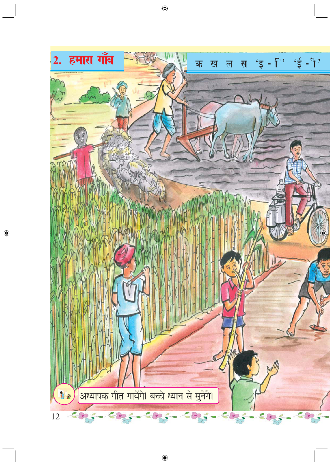

 $\bigcirc$ 

 $\bigoplus$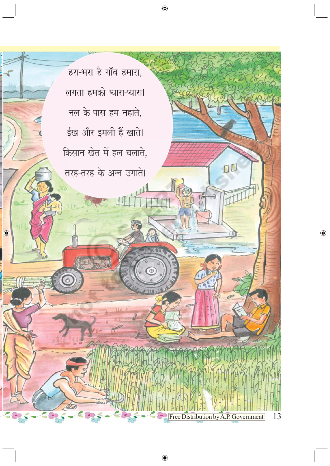

 $\bigoplus$ 

 $\bigoplus$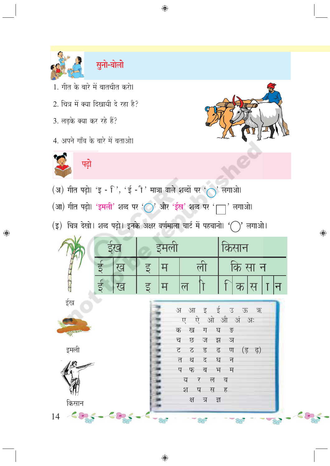

2. चित्र में क्या दिखायी दे रहा है?

4. अपने गाँव के बारे में बताओ।

3. लड़के क्या कर रहे हैं?

पढ़ो



 $\overline{\mathcal{H}}$ 

E

◈



◈

(अ) गीत पढ़ो। 'इ -  $\lceil$ ', 'ई - ी' मात्रा वाले शब्दों पर ' $\bigcap$ ' लगाओ।

(आ) गीत पढ़ो। 'इमली' शब्द पर '()' और 'ईख' शब्द पर ' $\Box$ ' लगाओ।

 $(5)$  चित्र देखो। शब्द पढ़ो। इनके अक्षर वर्णमाला चार्ट में पहचानो। '( )' लगाओ।

 $\bigoplus$ 





 $14 \leq 1$ 

E

 $-\epsilon$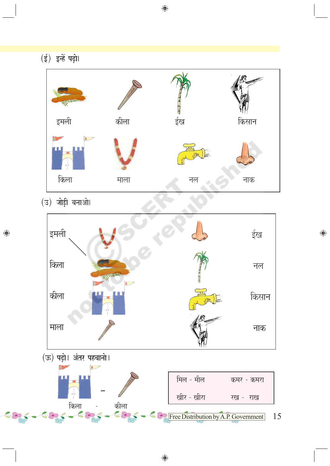## (ई) इन्हें पढ़ो।



 $\bigoplus$ 

 $\bigoplus$ 

(उ) जोड़ी बनाओ।

 $\bigcirc$ 

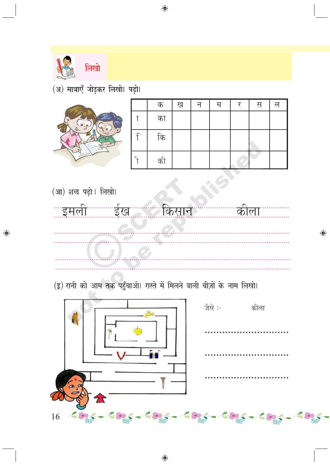

(अ) मात्राएँ जोड़कर लिखो। पढ़ो।



|        | क  | ख | न | म | स | ल |
|--------|----|---|---|---|---|---|
|        | का |   |   |   |   |   |
| ₽      | कि |   |   |   |   |   |
| $\cap$ | की |   |   |   |   |   |

 $\bigcirc$ 



 $\bigoplus$ 

इंख किसान <u>'इमली</u> काला . . . . . . .

(इ) रानी को आम तक पहुँचाओ। रास्ते में मिलने वाली चीज़ों के नाम लिखो।



 $\bigoplus$ 

 $\bigoplus$